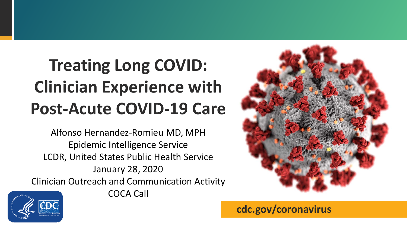# **Treating Long COVID: Clinician Experience with Post-Acute COVID-19 Care**

Alfonso Hernandez-Romieu MD, MPH Epidemic Intelligence Service LCDR, United States Public Health Service January 28, 2020 Clinician Outreach and Communication Activity



COCA Call



**cdc.gov/coronavirus**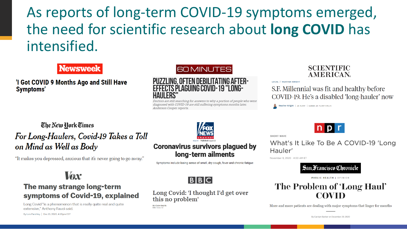## As reports of long-term COVID-19 symptoms emerged, the need for scientific research about **long COVID** has intensified.

#### **Newsweek**

'I Got COVID 9 Months Ago and Still Have **Symptoms'** 





Doctors are still searching for answers to why a portion of people who were diagnosed with COVID-19 are still suffering symptoms months later. Anderson Cooper reports.

#### **SCIENTIFIC AMERICAN**

**LOCAL // HEATHER KNIGHT** 

S.F. Millennial was fit and healthy before COVID-19. He's a disabled 'long-hauler' now

Heather Knight | Jan. 9, 2021 | Updated: Jan. 10, 2021 4:30 p.m.

#### The New York Times For Long-Haulers, Covid-19 Takes a Toll on Mind as Well as Body

"It makes you depressed, anxious that it's never going to go away."

#### Vox

#### The many strange long-term symptoms of Covid-19, explained

Long Covid "is a phenomenon that is really quite real and quite extensive," Anthony Fauci said.

By Lois Parshley | Dec 15, 2020, 4:20pm EST



#### **Coronavirus survivors plagued by** long-term ailments

Symptoms include losing sense of smell, dry cough, fever and chronic fatigue



#### Long Covid: 'I thought I'd get over this no problem'

By Claire Smyth **BC News NI** 



SHORT WAVE

What's It Like To Be A COVID-19 'Long Hauler'

November 9, 2020 - 4:00 AM ET



**PUBLIC HEALTH I OPINION** 

#### The Problem of 'Long Haul' **COVID**

More and more patients are dealing with major symptoms that linger for months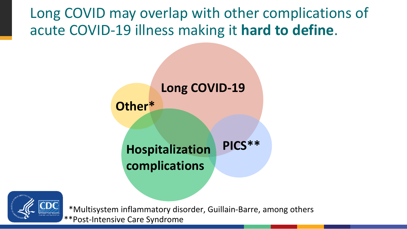Long COVID may overlap with other complications of acute COVID-19 illness making it **hard to define**.

# **Long COVID-19 Hospitalization complications Other\* PICS\*\***



\*Multisystem inflammatory disorder, Guillain-Barre, among others \*\*Post-Intensive Care Syndrome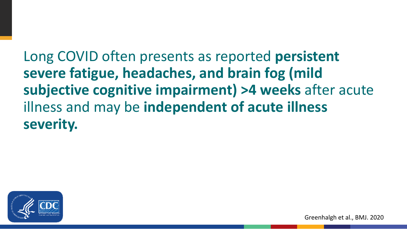Long COVID often presents as reported **persistent severe fatigue, headaches, and brain fog (mild subjective cognitive impairment) >4 weeks** after acute illness and may be **independent of acute illness severity.**

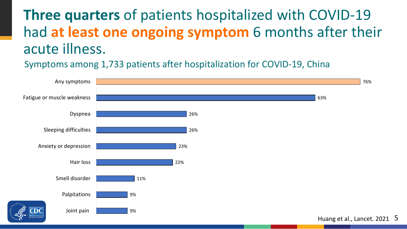## **Three quarters** of patients hospitalized with COVID-19 had **at least one ongoing symptom** 6 months after their acute illness.

Symptoms among 1,733 patients after hospitalization for COVID-19, China



5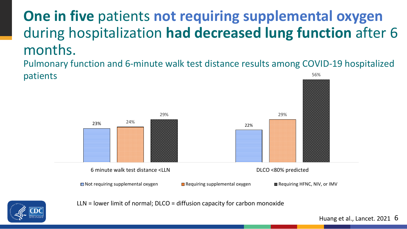## **One in five** patients **not requiring supplemental oxygen**  during hospitalization **had decreased lung function** after 6 months.

Pulmonary function and 6-minute walk test distance results among COVID-19 hospitalized patients 56%





LLN = lower limit of normal; DLCO = diffusion capacity for carbon monoxide

Huang et al., Lancet. 2021 6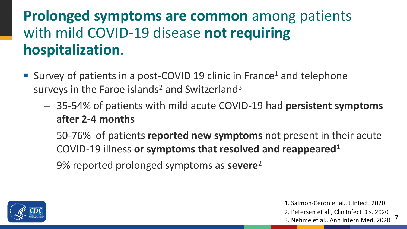# **Prolonged symptoms are common** among patients with mild COVID-19 disease **not requiring hospitalization**.

- Survey of patients in a post-COVID 19 clinic in France<sup>1</sup> and telephone surveys in the Faroe islands<sup>2</sup> and Switzerland<sup>3</sup>
	- 35-54% of patients with mild acute COVID-19 had **persistent symptoms after 2-4 months**
	- 50-76% of patients **reported new symptoms** not present in their acute COVID-19 illness **or symptoms that resolved and reappeared1**
	- 9% reported prolonged symptoms as **severe**<sup>2</sup>



1. Salmon-Ceron et al., J Infect. 2020 2. Petersen et al., Clin Infect Dis. 2020 3. Nehme et al., Ann Intern Med. 2020

7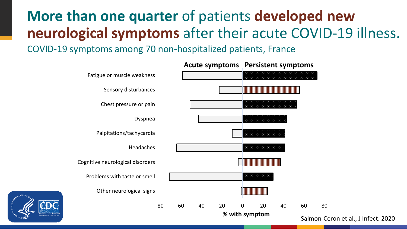# **More than one quarter** of patients **developed new neurological symptoms** after their acute COVID-19 illness.

COVID-19 symptoms among 70 non-hospitalized patients, France

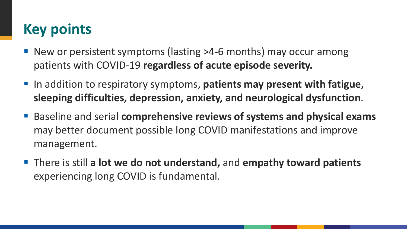# **Key points**

- New or persistent symptoms (lasting >4-6 months) may occur among patients with COVID-19 **regardless of acute episode severity.**
- In addition to respiratory symptoms, patients may present with fatigue, **sleeping difficulties, depression, anxiety, and neurological dysfunction**.
- Baseline and serial **comprehensive reviews of systems and physical exams** may better document possible long COVID manifestations and improve management.
- There is still a lot we do not understand, and empathy toward patients experiencing long COVID is fundamental.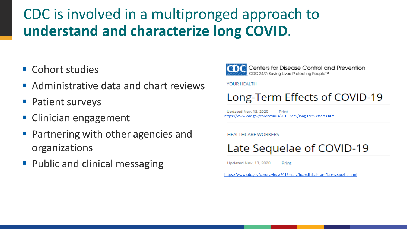## CDC is involved in a multipronged approach to **understand and characterize long COVID**.

- Cohort studies
- Administrative data and chart reviews
- Patient surveys
- **Clinician engagement**
- Partnering with other agencies and organizations
- **Public and clinical messaging**



Centers for Disease Control and Prevention CDC 24/7: Saving Lives, Protecting People™

#### YOUR HEALTH

#### Long-Term Effects of COVID-19

Updated Nov. 13, 2020 Print <https://www.cdc.gov/coronavirus/2019-ncov/long-term-effects.html>

#### **HEALTHCARE WORKERS**

### Late Sequelae of COVID-19

Updated Nov. 13, 2020 Print

<https://www.cdc.gov/coronavirus/2019-ncov/hcp/clinical-care/late-sequelae.html>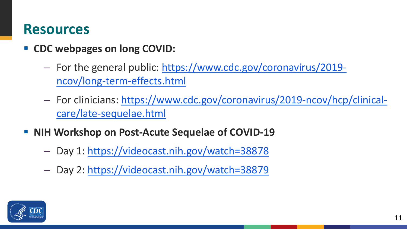## **Resources**

- **EX CDC webpages on long COVID:** 
	- For the general public: [https://www.cdc.gov/coronavirus/2019](https://www.cdc.gov/coronavirus/2019-ncov/long-term-effects.html) ncov/long-term-effects.html
	- For clinicians: [https://www.cdc.gov/coronavirus/2019-ncov/hcp/clinical](https://www.cdc.gov/coronavirus/2019-ncov/hcp/clinical-care/late-sequelae.html)care/late-sequelae.html
- **NIH Workshop on Post-Acute Sequelae of COVID-19**
	- Day 1: <https://videocast.nih.gov/watch=38878>
	- Day 2: <https://videocast.nih.gov/watch=38879>

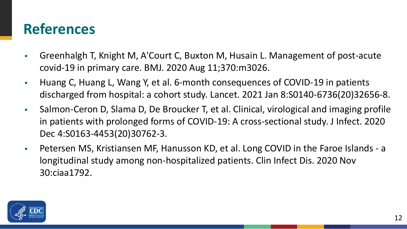## **References**

- Greenhalgh T, Knight M, A'Court C, Buxton M, Husain L. Management of post-acute covid-19 in primary care. BMJ. 2020 Aug 11;370:m3026.
- Huang C, Huang L, Wang Y, et al. 6-month consequences of COVID-19 in patients discharged from hospital: a cohort study. Lancet. 2021 Jan 8:S0140-6736(20)32656-8.
- Salmon-Ceron D, Slama D, De Broucker T, et al. Clinical, virological and imaging profile in patients with prolonged forms of COVID-19: A cross-sectional study. J Infect. 2020 Dec 4:S0163-4453(20)30762-3.
- Petersen MS, Kristiansen MF, Hanusson KD, et al. Long COVID in the Faroe Islands a longitudinal study among non-hospitalized patients. Clin Infect Dis. 2020 Nov 30:ciaa1792.

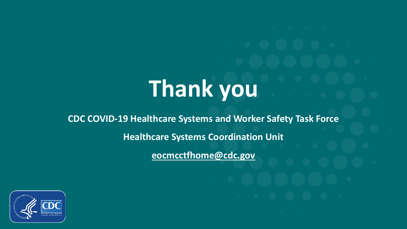# **Thank you**

**CDC COVID-19 Healthcare Systems and Worker Safety Task Force Healthcare Systems Coordination Unit**

**[eocmcctfhome@cdc.gov](mailto:eocmcctfhome@cdc.gov)**